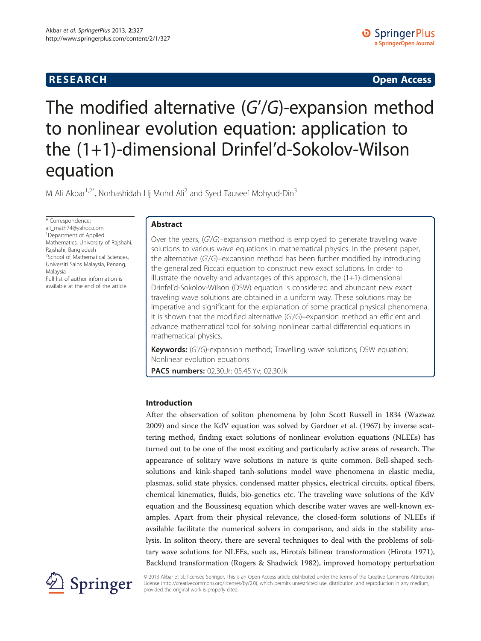## **RESEARCH CHILD CONTROL** CONTROL CONTROL CONTROL CONTROL CONTROL CONTROL CONTROL CONTROL CONTROL CONTROL CONTROL CONTROL CONTROL CONTROL CONTROL CONTROL CONTROL CONTROL CONTROL CONTROL CONTROL CONTROL CONTROL CONTROL CONTR

# The modified alternative (G'/G)-expansion method to nonlinear evolution equation: application to the (1+1)-dimensional Drinfel'd-Sokolov-Wilson equation

M Ali Akbar<sup>1,2\*</sup>, Norhashidah Hj Mohd Ali<sup>2</sup> and Syed Tauseef Mohyud-Din<sup>3</sup>

\* Correspondence:

[ali\\_math74@yahoo.com](mailto:ali_math74@yahoo.com) <sup>1</sup>Department of Applied Mathematics, University of Rajshahi, Rajshahi, Bangladesh <sup>2</sup>School of Mathematical Sciences, Universiti Sains Malaysia, Penang, Malaysia

Full list of author information is available at the end of the article

## Abstract

Over the years, (G'/G)–expansion method is employed to generate traveling wave solutions to various wave equations in mathematical physics. In the present paper, the alternative (G'/G)–expansion method has been further modified by introducing the generalized Riccati equation to construct new exact solutions. In order to illustrate the novelty and advantages of this approach, the  $(1+1)$ -dimensional Drinfel'd-Sokolov-Wilson (DSW) equation is considered and abundant new exact traveling wave solutions are obtained in a uniform way. These solutions may be imperative and significant for the explanation of some practical physical phenomena. It is shown that the modified alternative (G'/G)–expansion method an efficient and advance mathematical tool for solving nonlinear partial differential equations in mathematical physics.

Keywords: (G'/G)-expansion method; Travelling wave solutions; DSW equation; Nonlinear evolution equations

PACS numbers: 02.30.Jr; 05.45.Yv; 02.30.Ik

## Introduction

After the observation of soliton phenomena by John Scott Russell in 1834 (Wazwaz [2009](#page-15-0)) and since the KdV equation was solved by Gardner et al. ([1967](#page-14-0)) by inverse scattering method, finding exact solutions of nonlinear evolution equations (NLEEs) has turned out to be one of the most exciting and particularly active areas of research. The appearance of solitary wave solutions in nature is quite common. Bell-shaped sechsolutions and kink-shaped tanh-solutions model wave phenomena in elastic media, plasmas, solid state physics, condensed matter physics, electrical circuits, optical fibers, chemical kinematics, fluids, bio-genetics etc. The traveling wave solutions of the KdV equation and the Boussinesq equation which describe water waves are well-known examples. Apart from their physical relevance, the closed-form solutions of NLEEs if available facilitate the numerical solvers in comparison, and aids in the stability analysis. In soliton theory, there are several techniques to deal with the problems of solitary wave solutions for NLEEs, such as, Hirota's bilinear transformation (Hirota [1971](#page-15-0)), Backlund transformation (Rogers & Shadwick [1982](#page-15-0)), improved homotopy perturbation



© 2013 Akbar et al.; licensee Springer. This is an Open Access article distributed under the terms of the Creative Commons Attribution License [\(http://creativecommons.org/licenses/by/2.0\)](http://creativecommons.org/licenses/by/2.0), which permits unrestricted use, distribution, and reproduction in any medium, provided the original work is properly cited.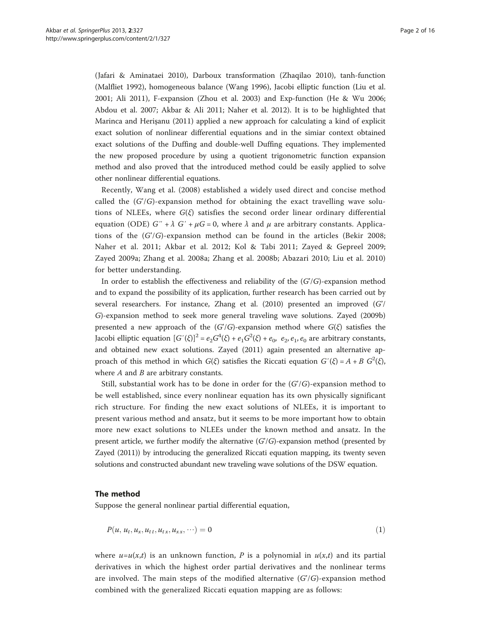<span id="page-1-0"></span>(Jafari & Aminataei [2010\)](#page-15-0), Darboux transformation (Zhaqilao [2010\)](#page-15-0), tanh-function (Malfliet [1992\)](#page-15-0), homogeneous balance (Wang [1996\)](#page-15-0), Jacobi elliptic function (Liu et al. [2001](#page-15-0); Ali [2011](#page-14-0)), F-expansion (Zhou et al. [2003](#page-15-0)) and Exp-function (He & Wu [2006](#page-14-0); Abdou et al. [2007;](#page-14-0) Akbar & Ali [2011;](#page-14-0) Naher et al. [2012\)](#page-15-0). It is to be highlighted that Marinca and Herişanu [\(2011\)](#page-15-0) applied a new approach for calculating a kind of explicit exact solution of nonlinear differential equations and in the simiar context obtained exact solutions of the Duffing and double-well Duffing equations. They implemented the new proposed procedure by using a quotient trigonometric function expansion method and also proved that the introduced method could be easily applied to solve other nonlinear differential equations.

Recently, Wang et al. [\(2008\)](#page-15-0) established a widely used direct and concise method called the  $(G/G)$ -expansion method for obtaining the exact travelling wave solutions of NLEEs, where  $G(\xi)$  satisfies the second order linear ordinary differential equation (ODE)  $G'' + \lambda G' + \mu G = 0$ , where  $\lambda$  and  $\mu$  are arbitrary constants. Applications of the (G'/G)-expansion method can be found in the articles (Bekir [2008](#page-14-0); Naher et al. [2011;](#page-15-0) Akbar et al. [2012](#page-14-0); Kol & Tabi [2011;](#page-15-0) Zayed & Gepreel [2009](#page-15-0); Zayed [2009a;](#page-15-0) Zhang et al. [2008a](#page-15-0); Zhang et al. [2008b;](#page-15-0) Abazari [2010](#page-14-0); Liu et al. [2010](#page-15-0)) for better understanding.

In order to establish the effectiveness and reliability of the  $(G/G)$ -expansion method and to expand the possibility of its application, further research has been carried out by several researchers. For instance, Zhang et al. [\(2010\)](#page-15-0) presented an improved (G'/ G)-expansion method to seek more general traveling wave solutions. Zayed ([2009b](#page-15-0)) presented a new approach of the  $(G/G)$ -expansion method where  $G(\xi)$  satisfies the Jacobi elliptic equation  $[G'(\xi)]^2 = e_2 G^4(\xi) + e_1 G^2(\xi) + e_0$ ,  $e_2, e_1, e_0$  are arbitrary constants, and obtained new exact solutions. Zayed ([2011\)](#page-15-0) again presented an alternative approach of this method in which  $G(\xi)$  satisfies the Riccati equation  $G'(\xi) = A + B G^2(\xi)$ , where  $A$  and  $B$  are arbitrary constants.

Still, substantial work has to be done in order for the  $(G/G)$ -expansion method to be well established, since every nonlinear equation has its own physically significant rich structure. For finding the new exact solutions of NLEEs, it is important to present various method and ansatz, but it seems to be more important how to obtain more new exact solutions to NLEEs under the known method and ansatz. In the present article, we further modify the alternative  $(G/G)$ -expansion method (presented by Zayed [\(2011\)](#page-15-0)) by introducing the generalized Riccati equation mapping, its twenty seven solutions and constructed abundant new traveling wave solutions of the DSW equation.

#### The method

Suppose the general nonlinear partial differential equation,

$$
P(u, u_t, u_x, u_{tt}, u_{tx}, u_{xx}, \cdots) = 0 \tag{1}
$$

where  $u=u(x,t)$  is an unknown function, P is a polynomial in  $u(x,t)$  and its partial derivatives in which the highest order partial derivatives and the nonlinear terms are involved. The main steps of the modified alternative  $(G/G)$ -expansion method combined with the generalized Riccati equation mapping are as follows: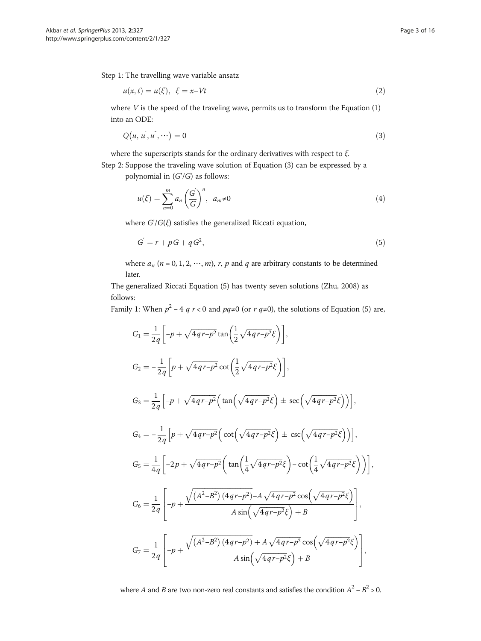<span id="page-2-0"></span>Step 1: The travelling wave variable ansatz

$$
u(x,t) = u(\xi), \ \xi = x - Vt \tag{2}
$$

where  $V$  is the speed of the traveling wave, permits us to transform the Equation  $(1)$  $(1)$  $(1)$ into an ODE:

$$
Q(u, u, u, u, \cdots) = 0 \tag{3}
$$

where the superscripts stands for the ordinary derivatives with respect to  $\xi$ .

Step 2: Suppose the traveling wave solution of Equation (3) can be expressed by a polynomial in  $(G/G)$  as follows:

$$
u(\xi) = \sum_{n=0}^{m} a_n \left(\frac{G}{G}\right)^n, \quad a_m \neq 0 \tag{4}
$$

where  $G/G(\xi)$  satisfies the generalized Riccati equation,

$$
G = r + pG + qG^2,\tag{5}
$$

where  $a_n$  ( $n = 0, 1, 2, \cdots, m$ ), r, p and q are arbitrary constants to be determined later.

The generalized Riccati Equation (5) has twenty seven solutions (Zhu, [2008\)](#page-15-0) as follows:

Family 1: When  $p^2 - 4$  q  $r < 0$  and  $pq ≠ 0$  (or  $r$  q≠0), the solutions of Equation (5) are,

$$
G_{1} = \frac{1}{2q} \left[ -p + \sqrt{4qr-p^{2}} \tan\left(\frac{1}{2}\sqrt{4qr-p^{2}}\xi\right) \right],
$$
  
\n
$$
G_{2} = -\frac{1}{2q} \left[ p + \sqrt{4qr-p^{2}} \cot\left(\frac{1}{2}\sqrt{4qr-p^{2}}\xi\right) \right],
$$
  
\n
$$
G_{3} = \frac{1}{2q} \left[ -p + \sqrt{4qr-p^{2}} \left( \tan\left(\sqrt{4qr-p^{2}}\xi\right) \pm \sec\left(\sqrt{4qr-p^{2}}\xi\right) \right) \right],
$$
  
\n
$$
G_{4} = -\frac{1}{2q} \left[ p + \sqrt{4qr-p^{2}} \left( \cot\left(\sqrt{4qr-p^{2}}\xi\right) \pm \csc\left(\sqrt{4qr-p^{2}}\xi\right) \right) \right],
$$
  
\n
$$
G_{5} = \frac{1}{4q} \left[ -2p + \sqrt{4qr-p^{2}} \left( \tan\left(\frac{1}{4}\sqrt{4qr-p^{2}}\xi\right) - \cot\left(\frac{1}{4}\sqrt{4qr-p^{2}}\xi\right) \right) \right],
$$
  
\n
$$
G_{6} = \frac{1}{2q} \left[ -p + \frac{\sqrt{(A^{2}-B^{2})(4qr-p^{2})} - A\sqrt{4qr-p^{2}}\cos\left(\sqrt{4qr-p^{2}}\xi\right)}{A\sin\left(\sqrt{4qr-p^{2}}\xi\right) + B} \right],
$$
  
\n
$$
G_{7} = \frac{1}{2q} \left[ -p + \frac{\sqrt{(A^{2}-B^{2})(4qr-p^{2})} + A\sqrt{4qr-p^{2}}\cos\left(\sqrt{4qr-p^{2}}\xi\right)}{A\sin\left(\sqrt{4qr-p^{2}}\xi\right) + B} \right],
$$

where A and B are two non-zero real constants and satisfies the condition  $A^2 - B^2 > 0$ .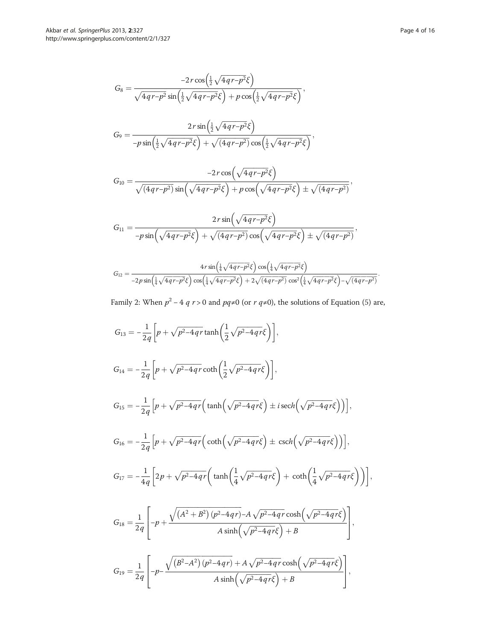$$
G_{8} = \frac{-2r \cos(\frac{1}{2}\sqrt{4qr-p^{2}}\xi)}{\sqrt{4qr-p^{2}} \sin(\frac{1}{2}\sqrt{4qr-p^{2}}\xi) + p \cos(\frac{1}{2}\sqrt{4qr-p^{2}}\xi)},
$$
  
\n
$$
G_{9} = \frac{2r \sin(\frac{1}{2}\sqrt{4qr-p^{2}}\xi)}{-p \sin(\frac{1}{2}\sqrt{4qr-p^{2}}\xi) + \sqrt{(4qr-p^{2})} \cos(\frac{1}{2}\sqrt{4qr-p^{2}}\xi)},
$$
  
\n
$$
G_{10} = \frac{-2r \cos(\sqrt{4qr-p^{2}}\xi)}{\sqrt{(4qr-p^{2})} \sin(\sqrt{4qr-p^{2}}\xi) + p \cos(\sqrt{4qr-p^{2}}\xi) \pm \sqrt{(4qr-p^{2})}},
$$
  
\n
$$
G_{11} = \frac{2r \sin(\sqrt{4qr-p^{2}}\xi)}{-p \sin(\sqrt{4qr-p^{2}}\xi) + \sqrt{(4qr-p^{2})} \cos(\sqrt{4qr-p^{2}}\xi) \pm \sqrt{(4qr-p^{2})}},
$$
  
\n
$$
G_{12} = \frac{4r \sin(\frac{1}{4}\sqrt{4qr-p^{2}}\xi) \cos(\frac{1}{4}\sqrt{4qr-p^{2}}\xi) \pm \sqrt{(4qr-p^{2})}}{-2p \sin(\frac{1}{4}\sqrt{4qr-p^{2}}\xi) \cos(\frac{1}{4}\sqrt{4qr-p^{2}}\xi) + 2\sqrt{(4qr-p^{2})} \cos^{2}(\frac{1}{4}\sqrt{4qr-p^{2}}\xi) - \sqrt{(4qr-p^{2})}}
$$

Family 2: When  $p^2 - 4$   $q$   $r > 0$  and  $pq ≠ 0$  (or  $r$   $q ≠ 0$ ), the solutions of Equation ([5\)](#page-2-0) are,

$$
G_{13} = -\frac{1}{2q} \left[ p + \sqrt{p^2 - 4q} r \tanh\left(\frac{1}{2}\sqrt{p^2 - 4q} r \xi\right) \right],
$$
  
\n
$$
G_{14} = -\frac{1}{2q} \left[ p + \sqrt{p^2 - 4q} r \coth\left(\frac{1}{2}\sqrt{p^2 - 4q} r \xi\right) \right],
$$
  
\n
$$
G_{15} = -\frac{1}{2q} \left[ p + \sqrt{p^2 - 4q} r \left( \tanh\left(\sqrt{p^2 - 4q} r \xi\right) \pm i \operatorname{sech}\left(\sqrt{p^2 - 4q} r \xi\right) \right) \right],
$$
  
\n
$$
G_{16} = -\frac{1}{2q} \left[ p + \sqrt{p^2 - 4q} r \left( \coth\left(\sqrt{p^2 - 4q} r \xi\right) \pm \operatorname{csch}\left(\sqrt{p^2 - 4q} r \xi\right) \right) \right],
$$
  
\n
$$
G_{17} = -\frac{1}{4q} \left[ 2p + \sqrt{p^2 - 4q} r \left( \tanh\left(\frac{1}{4}\sqrt{p^2 - 4q} r \xi\right) + \coth\left(\frac{1}{4}\sqrt{p^2 - 4q} r \xi\right) \right) \right],
$$
  
\n
$$
G_{18} = \frac{1}{2q} \left[ -p + \frac{\sqrt{(A^2 + B^2)(p^2 - 4q} r) - A\sqrt{p^2 - 4q} r \cosh\left(\sqrt{p^2 - 4q} r \xi\right)}{A \sinh\left(\sqrt{p^2 - 4q} r \xi\right) + B} \right],
$$
  
\n
$$
G_{19} = \frac{1}{2q} \left[ -p - \frac{\sqrt{(B^2 - A^2)(p^2 - 4q} r) + A\sqrt{p^2 - 4q} r \cosh\left(\sqrt{p^2 - 4q} r \xi\right)}{A \sinh\left(\sqrt{p^2 - 4q} r \xi\right) + B} \right],
$$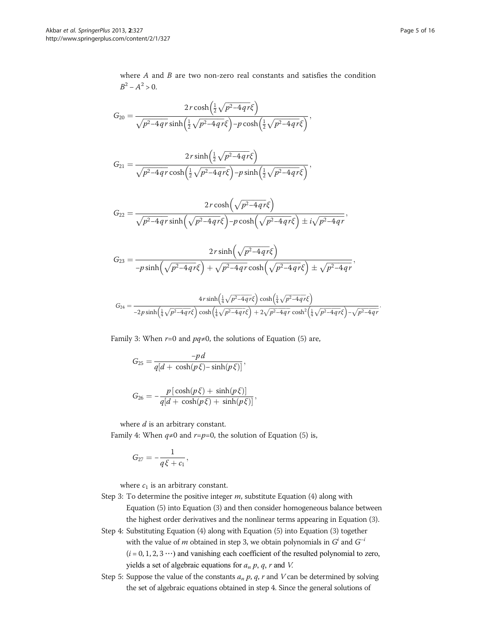where  $A$  and  $B$  are two non-zero real constants and satisfies the condition  $B^2 - A^2 > 0$ .

$$
G_{20} = \frac{2r \cosh\left(\frac{1}{2}\sqrt{p^2-4qr}\xi\right)}{\sqrt{p^2-4qr} \sinh\left(\frac{1}{2}\sqrt{p^2-4qr}\xi\right)-p \cosh\left(\frac{1}{2}\sqrt{p^2-4qr}\xi\right)},
$$

$$
G_{21}=\frac{2r\sinh\left(\frac{1}{2}\sqrt{p^2-4qr}\xi\right)}{\sqrt{p^2-4qr}\cosh\left(\frac{1}{2}\sqrt{p^2-4qr}\xi\right)-p\sinh\left(\frac{1}{2}\sqrt{p^2-4qr}\xi\right)},
$$

$$
G_{22} = \frac{2r \cosh\left(\sqrt{p^2-4qr}\xi\right)}{\sqrt{p^2-4qr} \sinh\left(\sqrt{p^2-4qr}\xi\right)-p \cosh\left(\sqrt{p^2-4qr}\xi\right)\pm i\sqrt{p^2-4qr}},
$$

$$
G_{23} = \frac{2r\sinh\left(\sqrt{p^2-4qr}\xi\right)}{-p\sinh\left(\sqrt{p^2-4qr}\xi\right) + \sqrt{p^2-4qr}\cosh\left(\sqrt{p^2-4qr}\xi\right) \pm \sqrt{p^2-4qr}}.
$$

$$
G_{24} = \frac{4r \sinh(\frac{1}{4}\sqrt{p^2 - 4qr\xi}) \cosh(\frac{1}{4}\sqrt{p^2 - 4qr\xi})}{-2p \sinh(\frac{1}{4}\sqrt{p^2 - 4qr\xi}) \cosh(\frac{1}{4}\sqrt{p^2 - 4qr\xi}) + 2\sqrt{p^2 - 4qr} \cosh^2(\frac{1}{4}\sqrt{p^2 - 4qr\xi}) - \sqrt{p^2 - 4qr}}.
$$

Family 3: When  $r=0$  and  $pq\neq0$ , the solutions of Equation ([5\)](#page-2-0) are,

$$
G_{25}=\frac{-pd}{q[d+\cosh(p\xi)-\sinh(p\xi)]},
$$

$$
G_{26} = -\frac{p [\cosh(p\xi) + \sinh(p\xi)]}{q[d + \cosh(p\xi) + \sinh(p\xi)]},
$$

where  $d$  is an arbitrary constant.

Family 4: When  $q≠0$  and  $r=p=0$ , the solution of Equation ([5\)](#page-2-0) is,

$$
G_{27}=-\frac{1}{q\xi+c_1},
$$

where  $c_1$  is an arbitrary constant.

- Step 3: To determine the positive integer  $m$ , substitute Equation ([4\)](#page-2-0) along with Equation [\(5](#page-2-0)) into Equation [\(3\)](#page-2-0) and then consider homogeneous balance between the highest order derivatives and the nonlinear terms appearing in Equation [\(3\)](#page-2-0).
- Step 4: Substituting Equation [\(4\)](#page-2-0) along with Equation [\(5](#page-2-0)) into Equation ([3\)](#page-2-0) together with the value of *m* obtained in step 3, we obtain polynomials in  $G^i$  and  $G^{-i}$  $(i = 0, 1, 2, 3 \cdots)$  and vanishing each coefficient of the resulted polynomial to zero, yields a set of algebraic equations for  $a_n p$ , q, r and V.
- Step 5: Suppose the value of the constants  $a_n p$ ,  $q$ ,  $r$  and  $V$  can be determined by solving the set of algebraic equations obtained in step 4. Since the general solutions of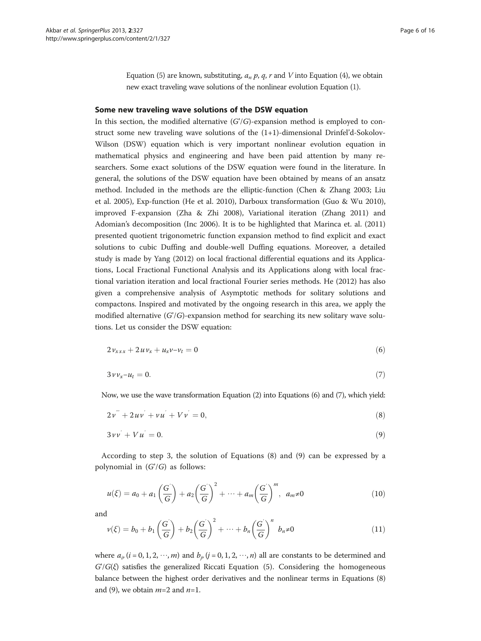Equation [\(5\)](#page-2-0) are known, substituting,  $a_n p$ ,  $q$ ,  $r$  and  $V$  into Equation ([4](#page-2-0)), we obtain new exact traveling wave solutions of the nonlinear evolution Equation ([1](#page-1-0)).

#### <span id="page-5-0"></span>Some new traveling wave solutions of the DSW equation

In this section, the modified alternative  $(G/G)$ -expansion method is employed to construct some new traveling wave solutions of the  $(1+1)$ -dimensional Drinfel'd-Sokolov-Wilson (DSW) equation which is very important nonlinear evolution equation in mathematical physics and engineering and have been paid attention by many researchers. Some exact solutions of the DSW equation were found in the literature. In general, the solutions of the DSW equation have been obtained by means of an ansatz method. Included in the methods are the elliptic-function (Chen & Zhang [2003;](#page-14-0) Liu et al. [2005\)](#page-15-0), Exp-function (He et al. [2010](#page-15-0)), Darboux transformation (Guo & Wu [2010](#page-14-0)), improved F-expansion (Zha & Zhi [2008\)](#page-15-0), Variational iteration (Zhang [2011](#page-15-0)) and Adomian's decomposition (Inc [2006](#page-15-0)). It is to be highlighted that Marinca et. al. ([2011](#page-15-0)) presented quotient trigonometric function expansion method to find explicit and exact solutions to cubic Duffing and double-well Duffing equations. Moreover, a detailed study is made by Yang [\(2012\)](#page-15-0) on local fractional differential equations and its Applications, Local Fractional Functional Analysis and its Applications along with local fractional variation iteration and local fractional Fourier series methods. He [\(2012\)](#page-14-0) has also given a comprehensive analysis of Asymptotic methods for solitary solutions and compactons. Inspired and motivated by the ongoing research in this area, we apply the modified alternative  $(G/G)$ -expansion method for searching its new solitary wave solutions. Let us consider the DSW equation:

$$
2v_{xxx} + 2uv_x + u_xv - v_t = 0
$$
\n(6)

$$
3\nu v_x - u_t = 0.\tag{7}
$$

Now, we use the wave transformation Equation [\(2\)](#page-2-0) into Equations (6) and (7), which yield:

$$
2v^{''} + 2uv^{'} + vu^{'} + Vv^{'} = 0,
$$
\n(8)

$$
3 \nu \nu + V u = 0. \tag{9}
$$

According to step 3, the solution of Equations (8) and (9) can be expressed by a polynomial in  $(G'/G)$  as follows:

$$
u(\xi) = a_0 + a_1 \left(\frac{G}{G}\right) + a_2 \left(\frac{G}{G}\right)^2 + \dots + a_m \left(\frac{G}{G}\right)^m, \ a_m \neq 0 \tag{10}
$$

and

$$
\nu(\xi) = b_0 + b_1 \left(\frac{G'}{G}\right) + b_2 \left(\frac{G'}{G}\right)^2 + \dots + b_n \left(\frac{G'}{G}\right)^n b_n \neq 0 \tag{11}
$$

where  $a_i$ ,  $(i = 0, 1, 2, \dots, m)$  and  $b_i$ ,  $(j = 0, 1, 2, \dots, n)$  all are constants to be determined and  $G/G(\xi)$  satisfies the generalized Riccati Equation [\(5](#page-2-0)). Considering the homogeneous balance between the highest order derivatives and the nonlinear terms in Equations (8) and (9), we obtain  $m=2$  and  $n=1$ .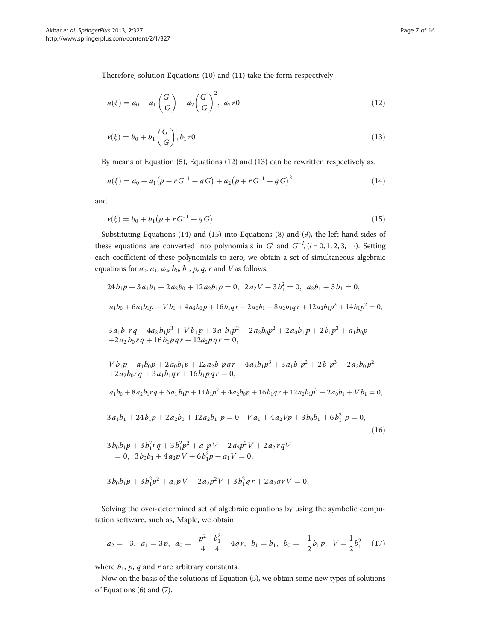Therefore, solution Equations ([10](#page-5-0)) and ([11](#page-5-0)) take the form respectively

$$
u(\xi) = a_0 + a_1 \left(\frac{G}{G}\right) + a_2 \left(\frac{G}{G}\right)^2, \ a_2 \neq 0 \tag{12}
$$

$$
\nu(\xi) = b_0 + b_1\left(\frac{G}{G}\right), b_1 \neq 0 \tag{13}
$$

By means of Equation ([5\)](#page-2-0), Equations (12) and (13) can be rewritten respectively as,

$$
u(\xi) = a_0 + a_1 (p + r G^{-1} + q G) + a_2 (p + r G^{-1} + q G)^2
$$
\n(14)

and

$$
\nu(\xi) = b_0 + b_1(p + rG^{-1} + qG). \tag{15}
$$

Substituting Equations (14) and (15) into Equations ([8\)](#page-5-0) and [\(9\)](#page-5-0), the left hand sides of these equations are converted into polynomials in  $G^i$  and  $G^{-i}$ ,  $(i = 0, 1, 2, 3, \cdots)$ . Setting each coefficient of these polynomials to zero, we obtain a set of simultaneous algebraic equations for  $a_0$ ,  $a_1$ ,  $a_2$ ,  $b_0$ ,  $b_1$ ,  $p$ ,  $q$ ,  $r$  and  $V$  as follows:

$$
24b_1p + 3a_1b_1 + 2a_2b_0 + 12a_2b_1p = 0, \ 2a_2V + 3b_1^2 = 0, \ a_2b_1 + 3b_1 = 0,
$$
  
\n
$$
a_1b_0 + 6a_1b_1p + Vb_1 + 4a_2b_0p + 16b_1qr + 2a_0b_1 + 8a_2b_1qr + 12a_2b_1p^2 + 14b_1p^2 = 0,
$$
  
\n
$$
3a_1b_1rq + 4a_2b_1p^3 + Vb_1p + 3a_1b_1p^2 + 2a_2b_0p^2 + 2a_0b_1p + 2b_1p^3 + a_1b_0p
$$
  
\n
$$
+2a_2b_0rq + 16b_1pqr + 12a_2pqr = 0,
$$
  
\n
$$
Vb_1p + a_1b_0p + 2a_0b_1p + 12a_2b_1pqr + 4a_2b_1p^3 + 3a_1b_1p^2 + 2b_1p^3 + 2a_2b_0p^2
$$
  
\n
$$
+2a_2b_0rq + 3a_1b_1qr + 16b_1pqr = 0,
$$
  
\n
$$
a_1b_0 + 8a_2b_1rq + 6a_1b_1p + 14b_1p^2 + 4a_2b_0p + 16b_1qr + 12a_2b_1p^2 + 2a_0b_1 + Vb_1 = 0,
$$
  
\n
$$
3a_1b_1 + 24b_1p + 2a_2b_0 + 12a_2b_1p = 0, \ Va_1 + 4a_2Vp + 3b_0b_1 + 6b_1^2p = 0,
$$
  
\n
$$
3b_0b_1p + 3b_1^2rq + 3b_1^2p^2 + a_1pV + 2a_2p^2V + 2a_2rqV
$$
  
\n
$$
= 0, \ 3b_0b_1 + 4a_2pV + 6b_1^2p + a_1V = 0,
$$
  
\n(16)

$$
3b_0b_1p + 3b_1^2p^2 + a_1pV + 2a_2p^2V + 3b_1^2qr + 2a_2qrV = 0.
$$

Solving the over-determined set of algebraic equations by using the symbolic computation software, such as, Maple, we obtain

$$
a_2 = -3, \ \ a_1 = 3p, \ \ a_0 = -\frac{p^2}{4} - \frac{b_1^2}{4} + 4qr, \ \ b_1 = b_1, \ \ b_0 = -\frac{1}{2}b_1p, \ \ V = \frac{1}{2}b_1^2 \tag{17}
$$

where  $b_1$ ,  $p$ ,  $q$  and  $r$  are arbitrary constants.

Now on the basis of the solutions of Equation [\(5](#page-2-0)), we obtain some new types of solutions of Equations ([6\)](#page-5-0) and [\(7](#page-5-0)).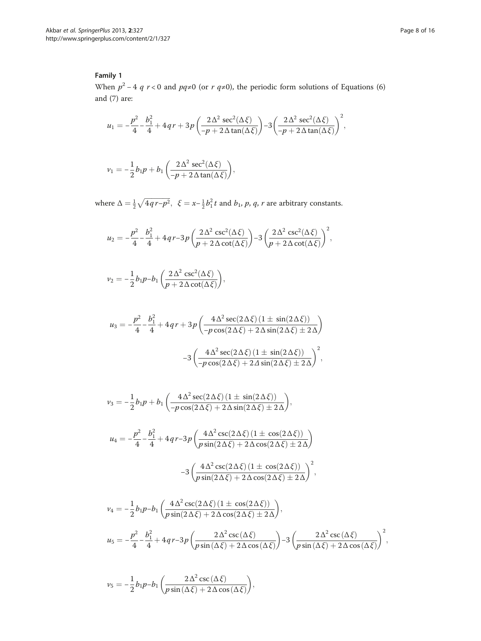## Family 1

When  $p^2 - 4$  q  $r < 0$  and  $pq \neq 0$  (or  $r q \neq 0$ ), the periodic form solutions of Equations ([6](#page-5-0)) and ([7\)](#page-5-0) are:

$$
u_1 = -\frac{p^2}{4} - \frac{b_1^2}{4} + 4qr + 3p\left(\frac{2\Delta^2 \sec^2(\Delta \xi)}{-p + 2\Delta \tan(\Delta \xi)}\right) - 3\left(\frac{2\Delta^2 \sec^2(\Delta \xi)}{-p + 2\Delta \tan(\Delta \xi)}\right)^2,
$$

$$
v_1 = -\frac{1}{2}b_1p + b_1\left(\frac{2\Delta^2 \sec^2(\Delta \xi)}{-p + 2\Delta \tan(\Delta \xi)}\right),
$$

where  $\Delta = \frac{1}{2} \sqrt{4q r - p^2}$ ,  $\xi = x - \frac{1}{2} b_1^2 t$  and  $b_1$ ,  $p$ ,  $q$ ,  $r$  are arbitrary constants.

$$
u_2 = -\frac{p^2}{4} - \frac{b_1^2}{4} + 4qr - 3p\left(\frac{2\Delta^2 \csc^2(\Delta\xi)}{p + 2\Delta \cot(\Delta\xi)}\right) - 3\left(\frac{2\Delta^2 \csc^2(\Delta\xi)}{p + 2\Delta \cot(\Delta\xi)}\right)^2,
$$

$$
\nu_2 = -\frac{1}{2}b_1p - b_1\left(\frac{2\Delta^2 \csc^2(\Delta \xi)}{p + 2\Delta \cot(\Delta \xi)}\right),
$$

$$
u_3 = -\frac{p^2}{4} - \frac{b_1^2}{4} + 4qr + 3p\left(\frac{4\Delta^2 \sec(2\Delta\xi)\left(1 \pm \sin(2\Delta\xi)\right)}{-p\cos(2\Delta\xi) + 2\Delta\sin(2\Delta\xi) \pm 2\Delta}\right)
$$

$$
-3\left(\frac{4\Delta^2 \sec(2\Delta\xi)\left(1 \pm \sin(2\Delta\xi)\right)}{-p\cos(2\Delta\xi) + 2\Delta\sin(2\Delta\xi) \pm 2\Delta}\right)^2,
$$

$$
\nu_3 = -\frac{1}{2}b_1p + b_1\left(\frac{4\Delta^2 \sec(2\Delta\xi)(1 \pm \sin(2\Delta\xi))}{-p\cos(2\Delta\xi) + 2\Delta\sin(2\Delta\xi) \pm 2\Delta}\right),
$$
  
\n
$$
u_4 = -\frac{p^2}{4} - \frac{b_1^2}{4} + 4q r - 3p\left(\frac{4\Delta^2 \csc(2\Delta\xi)(1 \pm \cos(2\Delta\xi))}{p\sin(2\Delta\xi) + 2\Delta\cos(2\Delta\xi) \pm 2\Delta}\right)
$$
  
\n
$$
-3\left(\frac{4\Delta^2 \csc(2\Delta\xi)(1 \pm \cos(2\Delta\xi))}{p\sin(2\Delta\xi) + 2\Delta\cos(2\Delta\xi) \pm 2\Delta}\right)^2,
$$
  
\n
$$
\nu_4 = -\frac{1}{2}b_1p - b_1\left(\frac{4\Delta^2 \csc(2\Delta\xi)(1 \pm \cos(2\Delta\xi))}{p\sin(2\Delta\xi) + 2\Delta\cos(2\Delta\xi) \pm 2\Delta}\right),
$$
  
\n
$$
u_5 = -\frac{p^2}{4} - \frac{b_1^2}{4} + 4q r - 3p\left(\frac{2\Delta^2 \csc(\Delta\xi)}{p\sin(\Delta\xi) + 2\Delta\cos(\Delta\xi)}\right) - 3\left(\frac{2\Delta^2 \csc(\Delta\xi)}{p\sin(\Delta\xi) + 2\Delta\cos(\Delta\xi)}\right)^2,
$$

$$
\nu_5 = -\frac{1}{2}b_1p - b_1\left(\frac{2\Delta^2\csc(\Delta\xi)}{p\sin(\Delta\xi) + 2\Delta\cos(\Delta\xi)}\right),\,
$$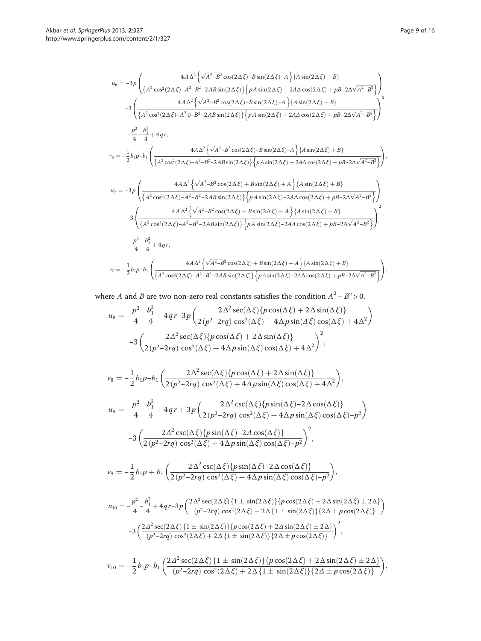$$
u_6 = -3p \left( \frac{4A\Delta^2 \left\{ \sqrt{A^2 - B^2} \cos(2\Delta\xi) - B \sin(2\Delta\xi) - A \right\} \left\{ A \sin(2\Delta\xi) + B \right\}}{\left\{ A^2 \cos^2(2\Delta\xi) - A^2 - B^2 - 2AB \sin(2\Delta\xi) \right\} \left\{ p A \sin(2\Delta\xi) + 2A\Delta \cos(2\Delta\xi) + p B - 2\Delta\sqrt{A^2 - B^2} \right\}} \right\}
$$
\n
$$
-3 \left( \frac{4A\Delta^2 \left\{ \sqrt{A^2 - B^2} \cos(2\Delta\xi) - B \sin(2\Delta\xi) - A \right\} \left\{ A \sin(2\Delta\xi) + B \right\}}{\left\{ A^2 \cos^2(2\Delta\xi) - A^2 0 - B^2 - 2AB \sin(2\Delta\xi) \right\} \left\{ p A \sin(2\Delta\xi) + 2A\Delta \cos(2\Delta\xi) + p B - 2\Delta\sqrt{A^2 - B^2} \right\}} \right\}
$$
\n
$$
- \frac{p^2}{4} - \frac{b_1^2}{4} + 4q r,
$$
\n
$$
v_6 = -\frac{1}{2} b_1 p - b_1 \left( \frac{4A\Delta^2 \left\{ \sqrt{A^2 - B^2} \cos(2\Delta\xi) - B \sin(2\Delta\xi) - A \right\} \left\{ A \sin(2\Delta\xi) + B \right\}}{\left\{ A^2 \cos^2(2\Delta\xi) - A^2 - B^2 - 2AB \sin(2\Delta\xi) \right\} \left\{ p A \sin(2\Delta\xi) + 2A\Delta \cos(2\Delta\xi) + p B - 2\Delta\sqrt{A^2 - B^2} \right\}} \right\}
$$
\n
$$
u_7 = -3p \left( \frac{4A\Delta^2 \left\{ \sqrt{A^2 - B^2} \cos(2\Delta\xi) + B \sin(2\Delta\xi) + A \right\} \left\{ A \sin(2\Delta\xi) + B \right\}}{\left\{ A^2 \cos^2(2\Delta\xi) - A^2 - B^2 - 2AB \sin(2\Delta\xi) \right\} \left\{ p A \sin(2\Delta\xi) - 2A\Delta \
$$

where A and B are two non-zero real constants satisfies the condition  $A^2 - B^2 > 0$ .

$$
\begin{split} u_8 = -\frac{p^2}{4} - \frac{b_1^2}{4} + 4\,q\,r - 3\,p &\left(\frac{2\,\Delta^2\,\mathrm{sec}(\Delta\,\xi)\{p\cos(\Delta\,\xi) + 2\,\Delta\sin(\Delta\,\xi)\}}{2\,(p^2-2r q)\,\cos^2(\Delta\,\xi) + 4\,\Delta p\sin(\Delta\,\xi)\cos(\Delta\,\xi) + 4\,\Delta^2}\right) \\ - 3\left(\frac{2\,\Delta^2\,\mathrm{sec}(\Delta\,\xi)\{p\cos(\Delta\,\xi) + 2\,\Delta\sin(\Delta\,\xi)\}}{2\,(p^2-2r q)\,\cos^2(\Delta\,\xi) + 4\,\Delta p\sin(\Delta\,\xi)\cos(\Delta\,\xi) + 4\,\Delta^2}\right)^2, \end{split}
$$

$$
v_8 = -\frac{1}{2}b_1p - b_1\left(\frac{2\Delta^2 \sec(\Delta\xi)\{p\cos(\Delta\xi) + 2\Delta\sin(\Delta\xi)\}}{2(p^2-2rq)\cos^2(\Delta\xi) + 4\Delta p\sin(\Delta\xi)\cos(\Delta\xi) + 4\Delta^2}\right),
$$
  
\n
$$
u_9 = -\frac{p^2}{4} - \frac{b_1^2}{4} + 4qr + 3p\left(\frac{2\Delta^2 \csc(\Delta\xi)\{p\sin(\Delta\xi)\cos(\Delta\xi) + 4\Delta^2\}}{2(p^2-2rq)\cos^2(\Delta\xi) + 4\Delta p\sin(\Delta\xi)\cos(\Delta\xi) - p^2}\right)
$$
  
\n
$$
-3\left(\frac{2\Delta^2 \csc(\Delta\xi)\{p\sin(\Delta\xi) - 2\Delta\cos(\Delta\xi)\}}{2(p^2-2rq)\cos^2(\Delta\xi) + 4\Delta p\sin(\Delta\xi)\cos(\Delta\xi) - p^2}\right)^2,
$$
  
\n
$$
v_9 = -\frac{1}{2}b_1p + b_1\left(\frac{2\Delta^2 \csc(\Delta\xi)\{p\sin(\Delta\xi) - 2\Delta\cos(\Delta\xi)\}}{2(p^2-2rq)\cos^2(\Delta\xi) + 4\Delta p\sin(\Delta\xi)\cos(\Delta\xi) - p^2}\right),
$$
  
\n
$$
u_{10} = -\frac{p^2}{4} - \frac{b_1^2}{4} + 4qr - 3p\left(\frac{2\Delta^2 \sec(2\Delta\xi)\{1 \pm \sin(2\Delta\xi)\} \{p\cos(2\Delta\xi) + 2\Delta\sin(2\Delta\xi) \pm 2\Delta\}\}}{(p^2-2rq)\cos^2(2\Delta\xi) + 2\Delta\{1 \pm \sin(2\Delta\xi)\} \{2\Delta\pm p\cos(2\Delta\xi)\}}
$$
  
\n
$$
-3\left(\frac{2\Delta^2 \sec(2\Delta\xi)\{1 \pm \sin(2\Delta\xi)\} \{p\cos(2\Delta\xi) + 2\Delta\sin(2\Delta\xi) \pm 2\Delta\}}{p^2-2rq)\cos^2(2\Delta\xi) + 2\Delta\{1 \pm \sin(2\Delta\xi)\} \{2\Delta\pm p\cos(2\Delta\xi)\}}
$$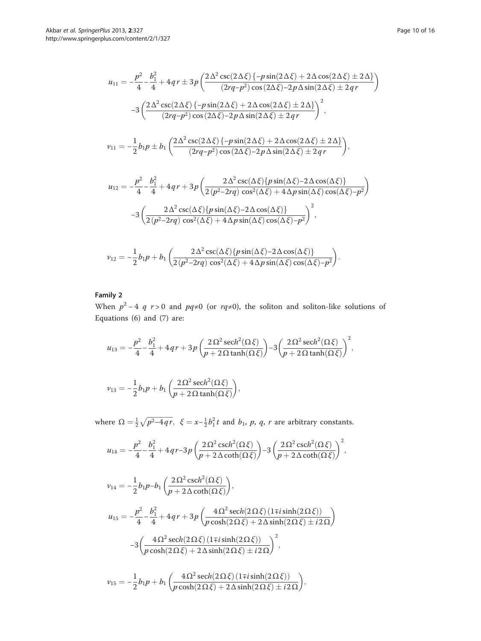$$
u_{11} = -\frac{p^2}{4} - \frac{b_1^2}{4} + 4qr \pm 3p \left( \frac{2\Delta^2 \csc(2\Delta\xi) \{-p\sin(2\Delta\xi) + 2\Delta\cos(2\Delta\xi) \pm 2\Delta\}}{(2rq - p^2)\cos(2\Delta\xi) - 2p\Delta\sin(2\Delta\xi) \pm 2qr} \right)
$$
  

$$
-3 \left( \frac{2\Delta^2 \csc(2\Delta\xi) \{-p\sin(2\Delta\xi) + 2\Delta\cos(2\Delta\xi) \pm 2\Delta\}}{(2rq - p^2)\cos(2\Delta\xi) - 2p\Delta\sin(2\Delta\xi) \pm 2qr} \right)^2,
$$
  

$$
v_{11} = -\frac{1}{2}b_1p \pm b_1 \left( \frac{2\Delta^2 \csc(2\Delta\xi) \{-p\sin(2\Delta\xi) + 2\Delta\cos(2\Delta\xi) \pm 2\Delta\}}{(2rq - p^2)\cos(2\Delta\xi) - 2p\Delta\sin(2\Delta\xi) \pm 2qr} \right),
$$

$$
u_{12} = -\frac{p^2}{4} - \frac{b_1^2}{4} + 4qr + 3p\left(\frac{2\Delta^2 \csc(\Delta\xi)\{p\sin(\Delta\xi) - 2\Delta\cos(\Delta\xi)\}}{2(p^2 - 2rq)\cos^2(\Delta\xi) + 4\Delta p\sin(\Delta\xi)\cos(\Delta\xi) - p^2}\right)
$$

$$
-3\left(\frac{2\Delta^2 \csc(\Delta\xi)\{p\sin(\Delta\xi) - 2\Delta\cos(\Delta\xi)\}}{2(p^2 - 2rq)\cos^2(\Delta\xi) + 4\Delta p\sin(\Delta\xi)\cos(\Delta\xi) - p^2}\right)^2,
$$

$$
\nu_{12} = -\frac{1}{2}b_1p + b_1\left(\frac{2\Delta^2\csc(\Delta\xi)\{p\sin(\Delta\xi) - 2\Delta\cos(\Delta\xi)\}}{2(p^2 - 2rq)\cos^2(\Delta\xi) + 4\Delta p\sin(\Delta\xi)\cos(\Delta\xi) - p^2}\right).
$$

## Family 2

When  $p^2 - 4$  q  $r > 0$  and  $pq \neq 0$  (or  $rq \neq 0$ ), the soliton and soliton-like solutions of Equations ([6](#page-5-0)) and ([7\)](#page-5-0) are:

$$
u_{13} = -\frac{p^2}{4} - \frac{b_1^2}{4} + 4qr + 3p\left(\frac{2\Omega^2 \operatorname{sech}^2(\Omega \xi)}{p + 2\Omega \tanh(\Omega \xi)}\right) - 3\left(\frac{2\Omega^2 \operatorname{sech}^2(\Omega \xi)}{p + 2\Omega \tanh(\Omega \xi)}\right)^2,
$$
  

$$
v_{13} = -\frac{1}{2}b_1p + b_1\left(\frac{2\Omega^2 \operatorname{sech}^2(\Omega \xi)}{p + 2\Omega \tanh(\Omega \xi)}\right),
$$

where  $\Omega = \frac{1}{2} \sqrt{p^2 - 4qr}$ ,  $\xi = x - \frac{1}{2} b_1^2 t$  and  $b_1$ , p, q, r are arbitrary constants.

$$
u_{14} = -\frac{p^2}{4} - \frac{b_1^2}{4} + 4qr - 3p\left(\frac{2\Omega^2 \operatorname{csch}^2(\Omega \xi)}{p + 2\Delta \operatorname{coth}(\Omega \xi)}\right) - 3\left(\frac{2\Omega^2 \operatorname{csch}^2(\Omega \xi)}{p + 2\Delta \operatorname{coth}(\Omega \xi)}\right)^2,
$$

$$
v_{14} = -\frac{1}{2}b_1p - b_1\left(\frac{2\Omega^2\operatorname{csch}^2(\Omega\xi)}{p + 2\Delta\operatorname{coth}(\Omega\xi)}\right),\,
$$

$$
u_{15} = -\frac{p^2}{4} - \frac{b_1^2}{4} + 4qr + 3p\left(\frac{4\Omega^2 \operatorname{sech}(2\Omega\xi)\left(1\mp i\sinh(2\Omega\xi)\right)}{p\cosh(2\Omega\xi) + 2\Delta\sinh(2\Omega\xi) \pm i2\Omega}\right)
$$

$$
-3\left(\frac{4\Omega^2 \operatorname{sech}(2\Omega\xi)\left(1\mp i\sinh(2\Omega\xi)\right)}{p\cosh(2\Omega\xi) + 2\Delta\sinh(2\Omega\xi) \pm i2\Omega}\right)^2,
$$

$$
\nu_{15} = -\frac{1}{2}b_1p + b_1\left(\frac{4\Omega^2 \operatorname{sech}(2\Omega\xi)\left(1 \mp i \sinh(2\Omega\xi)\right)}{p \cosh(2\Omega\xi) + 2\Delta \sinh(2\Omega\xi) \pm i2\Omega}\right),\,
$$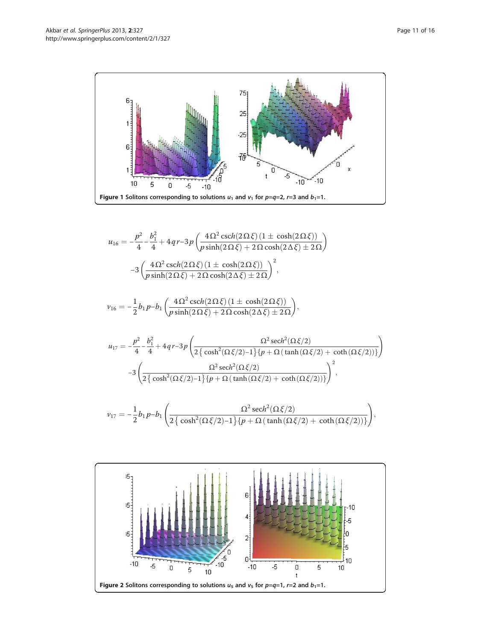<span id="page-10-0"></span>

$$
u_{16} = -\frac{p^2}{4} - \frac{b_1^2}{4} + 4qr - 3p\left(\frac{4\Omega^2 \operatorname{csch}(2\Omega\xi)\left(1 \pm \cosh(2\Omega\xi)\right)}{p \sinh(2\Omega\xi) + 2\Omega \cosh(2\Delta\xi) \pm 2\Omega}\right)
$$

$$
-3\left(\frac{4\Omega^2 \operatorname{csch}(2\Omega\xi)\left(1 \pm \cosh(2\Omega\xi)\right)}{p \sinh(2\Omega\xi) + 2\Omega \cosh(2\Delta\xi) \pm 2\Omega}\right)^2,
$$

$$
\nu_{16} = -\frac{1}{2}b_1p - b_1\left(\frac{4\Omega^2\operatorname{csch}(2\Omega\xi)\left(1 \pm \cosh(2\Omega\xi)\right)}{p\sinh(2\Omega\xi) + 2\Omega\cosh(2\Delta\xi) \pm 2\Omega}\right),\,
$$

$$
u_{17} = -\frac{p^2}{4} - \frac{b_1^2}{4} + 4qr - 3p\left(\frac{\Omega^2 \operatorname{sech}^2(\Omega\xi/2)}{2\left\{\cosh^2(\Omega\xi/2) - 1\right\}\left\{p + \Omega\left(\tanh\left(\Omega\xi/2\right) + \coth\left(\Omega\xi/2\right)\right)\right\}}\right)
$$

$$
-3\left(\frac{\Omega^2 \operatorname{sech}^2(\Omega\xi/2)}{2\left\{\cosh^2(\Omega\xi/2) - 1\right\}\left\{p + \Omega\left(\tanh\left(\Omega\xi/2\right) + \coth\left(\Omega\xi/2\right)\right)\right\}}\right)^2,
$$

$$
\nu_{17} = -\frac{1}{2}b_1p - b_1\left(\frac{\Omega^2 \operatorname{sech}^2(\Omega\xi/2)}{2\left\{\cosh^2(\Omega\xi/2) - 1\right\}\left\{p + \Omega\left(\tanh\left(\Omega\xi/2\right) + \coth\left(\Omega\xi/2\right)\right)\right\}}\right),\,
$$

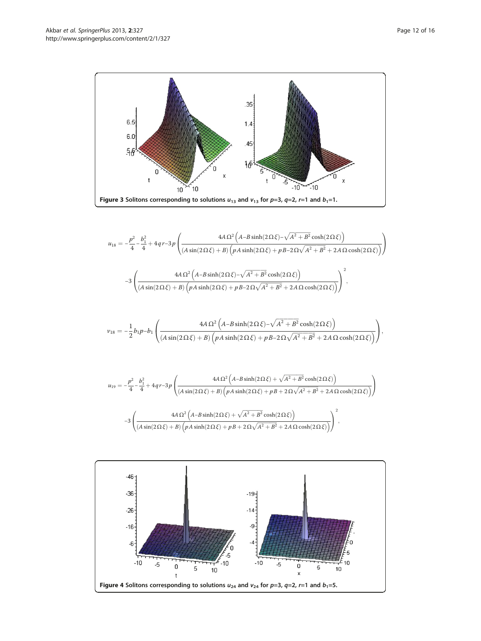<span id="page-11-0"></span>

$$
\begin{split} u_{18} & =-\frac{p^2}{4}-\frac{b_1^2}{4}+4qr-3p\left(\frac{4A\,\Omega^2\left(A-B\sinh(2\,\Omega\,\xi)-\sqrt{A^2+B^2}\cosh(2\,\Omega\,\xi)\right)}{(A\sin(2\,\Omega\,\xi)+B)\left(pA\sinh(2\,\Omega\,\xi)+pB-2\,\Omega\sqrt{A^2+B^2}+2A\,\Omega\cosh(2\,\Omega\,\xi)\right)}\right)\\ & -3\left(\frac{4A\,\Omega^2\left(A-B\sinh(2\,\Omega\,\xi)-\sqrt{A^2+B^2}\cosh(2\,\Omega\,\xi)\right)}{(A\sin(2\,\Omega\,\xi)+B)\left(pA\sinh(2\,\Omega\,\xi)+pB-2\,\Omega\sqrt{A^2+B^2}+2A\,\Omega\cosh(2\,\Omega\,\xi)\right)}\right)^2, \end{split}
$$

$$
\nu_{18}=-\frac{1}{2}b_1p-b_1\left(\frac{4A\,\Omega^2\left(A-B\sinh(2\,\Omega\,\xi)-\sqrt{A^2+B^2}\cosh(2\,\Omega\,\xi)\right)}{(A\sin(2\,\Omega\,\xi)+B)\left(pA\sinh(2\,\Omega\,\xi)+pB-2\,\Omega\sqrt{A^2+B^2}+2A\,\Omega\cosh(2\,\Omega\,\xi)\right)}\right),
$$

$$
u_{19} = -\frac{p^2}{4} - \frac{b_1^2}{4} + 4qr - 3p \left( \frac{4A \Omega^2 \left( A - B \sinh(2\Omega \xi) + \sqrt{A^2 + B^2} \cosh(2\Omega \xi) \right)}{\left( A \sin(2\Omega \xi) + B \right) \left( pA \sinh(2\Omega \xi) + pB + 2\Omega \sqrt{A^2 + B^2} + 2A \Omega \cosh(2\Omega \xi) \right)} \right)
$$
  
-3 
$$
\left( \frac{4A \Omega^2 \left( A - B \sinh(2\Omega \xi) + \sqrt{A^2 + B^2} \cosh(2\Omega \xi) \right)}{\left( A \sin(2\Omega \xi) + B \right) \left( pA \sinh(2\Omega \xi) + pB + 2\Omega \sqrt{A^2 + B^2} + 2A \Omega \cosh(2\Omega \xi) \right)} \right)^2,
$$

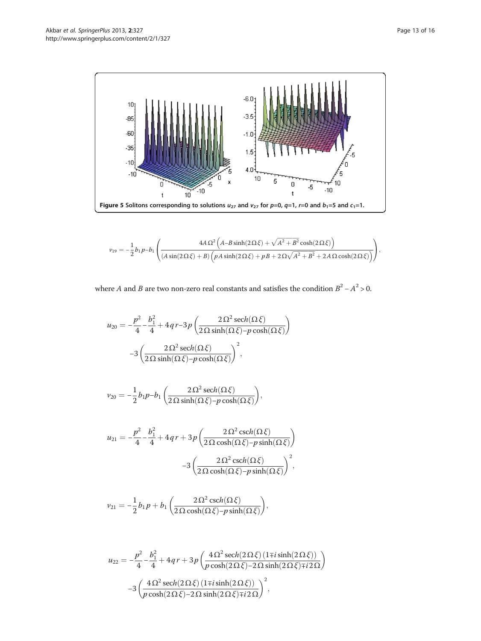<span id="page-12-0"></span>

$$
\nu_{19} = -\frac{1}{2}b_1p - b_1\left(\frac{4A\,\Omega^2\left(A - B\sinh(2\,\Omega\,\xi) + \sqrt{A^2 + B^2}\cosh(2\,\Omega\,\xi)\right)}{(A\sin(2\,\Omega\,\xi) + B)\left(pA\sinh(2\,\Omega\,\xi) + pB + 2\,\Omega\sqrt{A^2 + B^2} + 2A\,\Omega\cosh(2\,\Omega\,\xi)\right)}\right),
$$

where *A* and *B* are two non-zero real constants and satisfies the condition  $B^2 - A^2 > 0$ .

$$
u_{20} = -\frac{p^2}{4} - \frac{b_1^2}{4} + 4qr - 3p\left(\frac{2\Omega^2 \operatorname{sech}(\Omega \xi)}{2\Omega \operatorname{sinh}(\Omega \xi) - p \cosh(\Omega \xi)}\right)
$$

$$
-3\left(\frac{2\Omega^2 \operatorname{sech}(\Omega \xi)}{2\Omega \operatorname{sinh}(\Omega \xi) - p \cosh(\Omega \xi)}\right)^2,
$$

$$
\nu_{20} = -\frac{1}{2}b_1p - b_1\left(\frac{2\Omega^2 \operatorname{sech}(\Omega \xi)}{2\Omega \sinh(\Omega \xi) - p \cosh(\Omega \xi)}\right),\,
$$

$$
u_{21} = -\frac{p^2}{4} - \frac{b_1^2}{4} + 4qr + 3p\left(\frac{2\Omega^2 \operatorname{csch}(\Omega \xi)}{2\Omega \operatorname{cosh}(\Omega \xi) - p \operatorname{sinh}(\Omega \xi)}\right)
$$

$$
-3\left(\frac{2\Omega^2 \operatorname{csch}(\Omega \xi)}{2\Omega \operatorname{cosh}(\Omega \xi) - p \operatorname{sinh}(\Omega \xi)}\right)^2,
$$

$$
\nu_{21} = -\frac{1}{2}b_1p + b_1\left(\frac{2\Omega^2\operatorname{csch}(\Omega\xi)}{2\Omega\cosh(\Omega\xi) - p\sinh(\Omega\xi)}\right),\,
$$

$$
\begin{split} u_{22} & = -\frac{p^2}{4} - \frac{b_1^2}{4} + 4qr + 3p\left(\frac{4\Omega^2\,\mathrm{sech}(2\,\Omega\,\xi)\,(1\mp i\sinh(2\,\Omega\,\xi))}{p\,\cosh(2\,\Omega\,\xi) - 2\,\Omega\,\sinh(2\,\Omega\,\xi)\mp i\,2\,\Omega}\right) \\ & - 3\left(\frac{4\,\Omega^2\,\mathrm{sech}(2\,\Omega\,\xi)\,(1\mp i\sinh(2\,\Omega\,\xi))}{p\,\cosh(2\,\Omega\,\xi) - 2\,\Omega\,\sinh(2\,\Omega\,\xi)\mp i\,2\,\Omega}\right)^2, \end{split}
$$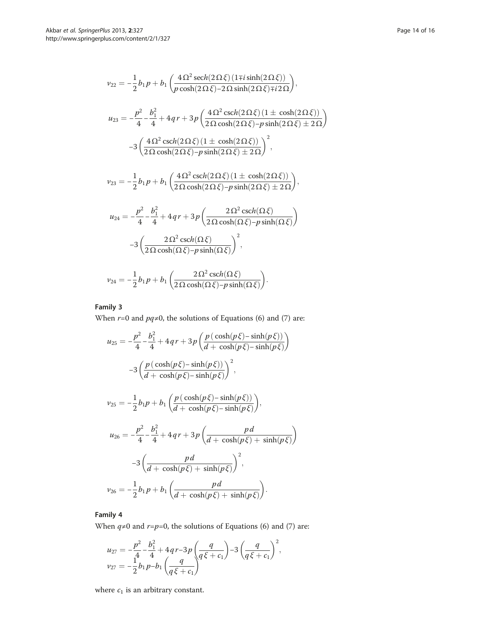$$
\nu_{22} = -\frac{1}{2}b_1p + b_1\left(\frac{4\Omega^2 \operatorname{sech}(2\Omega\xi)\left(1\mp i\sinh(2\Omega\xi)\right)}{p\cosh(2\Omega\xi) - 2\Omega \sinh(2\Omega\xi)\mp i2\Omega}\right),
$$
\n
$$
u_{23} = -\frac{p^2}{4} - \frac{b_1^2}{4} + 4qr + 3p\left(\frac{4\Omega^2 \operatorname{csch}(2\Omega\xi)\left(1 \pm \cosh(2\Omega\xi)\right)}{2\Omega \cosh(2\Omega\xi) - p\sinh(2\Omega\xi) \pm 2\Omega}\right)
$$
\n
$$
-3\left(\frac{4\Omega^2 \operatorname{csch}(2\Omega\xi)\left(1 \pm \cosh(2\Omega\xi)\right)}{2\Omega \cosh(2\Omega\xi) - p\sinh(2\Omega\xi) \pm 2\Omega}\right)^2,
$$
\n
$$
\nu_{23} = -\frac{1}{2}b_1p + b_1\left(\frac{4\Omega^2 \operatorname{csch}(2\Omega\xi)\left(1 \pm \cosh(2\Omega\xi)\right)}{2\Omega \cosh(2\Omega\xi) - p\sinh(2\Omega\xi) \pm 2\Omega}\right),
$$
\n
$$
u_{24} = -\frac{p^2}{4} - \frac{b_1^2}{4} + 4qr + 3p\left(\frac{2\Omega^2 \operatorname{csch}(\Omega\xi)}{2\Omega \operatorname{cosh}(\Omega\xi) - p\sinh(\Omega\xi)}\right)
$$

$$
u_{24} = -\frac{1}{4} - \frac{1}{4} + 4q + 3p \left( \frac{1}{2} \Omega \cosh(\Omega \xi) - p \sinh(\Omega \xi) \right)
$$

$$
-3 \left( \frac{2 \Omega^2 \operatorname{csch}(\Omega \xi)}{2 \Omega \cosh(\Omega \xi) - p \sinh(\Omega \xi)} \right)^2,
$$

$$
\nu_{24} = -\frac{1}{2}b_1p + b_1\left(\frac{2\Omega^2\operatorname{csch}(\Omega\xi)}{2\Omega\cosh(\Omega\xi) - p\sinh(\Omega\xi)}\right).
$$

## Family 3

When  $r=0$  and  $pq\neq0$ , the solutions of Equations ([6\)](#page-5-0) and ([7\)](#page-5-0) are:

$$
u_{25} = -\frac{p^2}{4} - \frac{b_1^2}{4} + 4qr + 3p\left(\frac{p(\cosh(p\xi) - \sinh(p\xi))}{d + \cosh(p\xi) - \sinh(p\xi)}\right)
$$

$$
-3\left(\frac{p(\cosh(p\xi) - \sinh(p\xi))}{d + \cosh(p\xi) - \sinh(p\xi)}\right)^2,
$$

$$
v_{25} = -\frac{1}{2}b_1p + b_1\left(\frac{p(\cosh(p\xi) - \sinh(p\xi))}{d + \cosh(p\xi) - \sinh(p\xi)}\right),
$$

$$
u_{26} = -\frac{p^2}{4} - \frac{b_1^2}{4} + 4qr + 3p\left(\frac{pd}{d + \cosh(p\xi) + \sinh(p\xi)}\right)
$$

$$
-3\left(\frac{pd}{d + \cosh(p\xi) + \sinh(p\xi)}\right)^2,
$$

$$
v_{26} = -\frac{1}{2}b_1p + b_1\left(\frac{pd}{d + \cosh(p\xi) + \sinh(p\xi)}\right).
$$

## Family 4

When  $q\neq 0$  and  $r=p=0$ , the solutions of Equations [\(6](#page-5-0)) and ([7](#page-5-0)) are:

$$
u_{27} = -\frac{p^2}{4} - \frac{b_1^2}{4} + 4qr - 3p\left(\frac{q}{q\xi + c_1}\right) - 3\left(\frac{q}{q\xi + c_1}\right)^2,
$$
  

$$
v_{27} = -\frac{1}{2}b_1p - b_1\left(\frac{q}{q\xi + c_1}\right)^2
$$

where  $c_1$  is an arbitrary constant.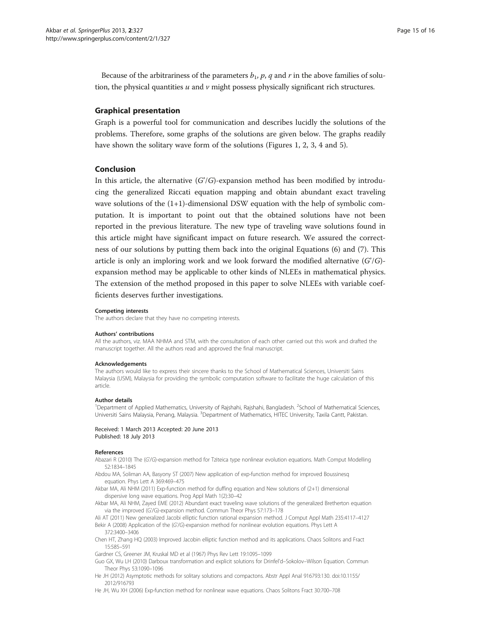<span id="page-14-0"></span>Because of the arbitrariness of the parameters  $b_1$ ,  $p$ ,  $q$  and  $r$  in the above families of solution, the physical quantities  $u$  and  $v$  might possess physically significant rich structures.

#### Graphical presentation

Graph is a powerful tool for communication and describes lucidly the solutions of the problems. Therefore, some graphs of the solutions are given below. The graphs readily have shown the solitary wave form of the solutions (Figures [1, 2,](#page-10-0) [3, 4](#page-11-0) and [5\)](#page-12-0).

#### Conclusion

In this article, the alternative  $(G/G)$ -expansion method has been modified by introducing the generalized Riccati equation mapping and obtain abundant exact traveling wave solutions of the (1+1)-dimensional DSW equation with the help of symbolic computation. It is important to point out that the obtained solutions have not been reported in the previous literature. The new type of traveling wave solutions found in this article might have significant impact on future research. We assured the correctness of our solutions by putting them back into the original Equations ([6\)](#page-5-0) and [\(7](#page-5-0)). This article is only an imploring work and we look forward the modified alternative  $(G/G)$ expansion method may be applicable to other kinds of NLEEs in mathematical physics. The extension of the method proposed in this paper to solve NLEEs with variable coefficients deserves further investigations.

#### Competing interests

The authors declare that they have no competing interests.

#### Authors' contributions

All the authors, viz. MAA NHMA and STM, with the consultation of each other carried out this work and drafted the manuscript together. All the authors read and approved the final manuscript.

#### Acknowledgements

The authors would like to express their sincere thanks to the School of Mathematical Sciences, Universiti Sains Malaysia (USM), Malaysia for providing the symbolic computation software to facilitate the huge calculation of this article.

#### Author details

<sup>1</sup>Department of Applied Mathematics, University of Rajshahi, Rajshahi, Bangladesh. <sup>2</sup>School of Mathematical Sciences Universiti Sains Malaysia, Penang, Malaysia. <sup>3</sup>Department of Mathematics, HITEC University, Taxila Cantt, Pakistan.

Received: 1 March 2013 Accepted: 20 June 2013 Published: 18 July 2013

#### References

Abazari R (2010) The (G'/G)-expansion method for Tziteica type nonlinear evolution equations. Math Comput Modelling 52:1834–1845

Abdou MA, Soliman AA, Basyony ST (2007) New application of exp-function method for improved Boussinesq equation. Phys Lett A 369:469–475

Akbar MA, Ali NHM (2011) Exp-function method for duffing equation and New solutions of (2+1) dimensional dispersive long wave equations. Prog Appl Math 1(2):30–42

Akbar MA, Ali NHM, Zayed EME (2012) Abundant exact traveling wave solutions of the generalized Bretherton equation via the improved (G'/G)-expansion method. Commun Theor Phys 57:173–178

Ali AT (2011) New generalized Jacobi elliptic function rational expansion method. J Comput Appl Math 235:4117–4127 Bekir A (2008) Application of the (G'/G)-expansion method for nonlinear evolution equations. Phys Lett A

372:3400–3406

Chen HT, Zhang HQ (2003) Improved Jacobin elliptic function method and its applications. Chaos Solitons and Fract 15:585–591

Gardner CS, Greener JM, Kruskal MD et al (1967) Phys Rev Lett 19:1095–1099

Guo GX, Wu LH (2010) Darboux transformation and explicit solutions for Drinfel'd–Sokolov–Wilson Equation. Commun Theor Phys 53:1090–1096

He JH (2012) Asymptotic methods for solitary solutions and compactons. Abstr Appl Anal 916793:130. doi:[10.1155/](http://dx.doi.org/10.1155/2012/916793) [2012/916793](http://dx.doi.org/10.1155/2012/916793)

He JH, Wu XH (2006) Exp-function method for nonlinear wave equations. Chaos Solitons Fract 30:700–708